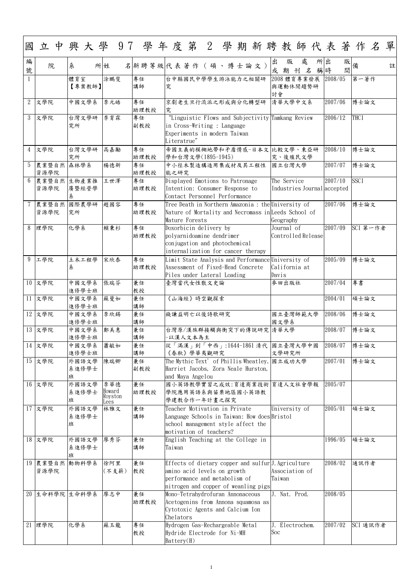1

| 國              | 立中興大學 97 學年度第 2 學期新聘教師代表著作名單 |                     |                                  |                     |                                                                                                                                                                                   |                                                   |  |  |        |             |                             |   |         |         |             |          |   |
|----------------|------------------------------|---------------------|----------------------------------|---------------------|-----------------------------------------------------------------------------------------------------------------------------------------------------------------------------------|---------------------------------------------------|--|--|--------|-------------|-----------------------------|---|---------|---------|-------------|----------|---|
| 編<br>號         | 院                            | 糸                   | 所姓                               | 名 新聘等級 代表著作(碩、博士論文) |                                                                                                                                                                                   |                                                   |  |  | 出<br>或 | 版<br>期      | 處<br>$\mathcal{Z}$<br>刊     | 所 | 出<br>稱時 | 間       | 版 <br> 備    |          | 註 |
|                |                              | 體育室<br>【專案教師】       | 涂鵬斐                              | 專任<br>講師            | 台中縣國民中學學生游泳能力之相關研<br>究                                                                                                                                                            |                                                   |  |  | 討會     |             | 2008 體育專業發展<br>與運動休閒趨勢研     |   |         | 2008/05 | 第一著作        |          |   |
| $\overline{2}$ | 文學院                          | 中國文學系               | 李元皓                              | 專任<br>助理教授          | 京劇老生旦行流派之形成與分化轉型研<br>究                                                                                                                                                            |                                                   |  |  |        |             | 清華大學中文系                     |   | 2007/06 |         | 博士論文        |          |   |
| 3              | 文學院                          | 台灣文學研<br>究所         | 李育霖                              | 專任<br>副教授           | in Cross-Writing : Language<br>Experiments in modern Taiwan<br>Literatrue"                                                                                                        | "Linguistic Flows and Subjectivity Tamkang Review |  |  |        |             |                             |   | 2006/12 |         | <b>THCI</b> |          |   |
| 4              | 文學院                          | 台灣文學研<br>究所         | 高嘉勵                              | 專任<br>助理教授          | 帝國主義的模糊地帶和矛盾情感-日本文 比較文學、東亞研<br>學和台灣文學(1895-1945)                                                                                                                                  |                                                   |  |  |        |             | 究、後殖民文學                     |   |         | 2008/10 | 博士論文        |          |   |
| 5              | 農業暨自然 森林學系<br>資源學院           |                     | 楊德新                              | 專任<br>助理教授          | 中小徑木製造構造用集成材及其工程性<br>能之研究                                                                                                                                                         |                                                   |  |  |        | 國立台灣大學      |                             |   | 2007/07 |         | 博士論文        |          |   |
| 6              | 農業暨自然 生物產業推<br>資源學院          | 廣暨經營學<br>糸          | 王世澤                              | 專任<br>助理教授          | Displayed Emotions to Patronage<br>Intention: Consumer Response to<br>Contact Personnel Performance                                                                               |                                                   |  |  |        | The Service | Industries Journal accepted |   | 2007/10 |         | <b>SSCI</b> |          |   |
|                | 農業暨自然<br>資源學院                | 國際農學研<br>究所         | 趙國容                              | 專任<br>助理教授          | Tree Death in Northern Amazonia : the University of<br>Nature of Mortality and Necromass in Leeds School of<br>Mature Forests                                                     |                                                   |  |  |        | Geography   |                             |   | 2007/06 |         | 博士論文        |          |   |
| 8              | 理學院                          | 化學系                 | 賴秉杉                              | 專任<br>助理教授          | Doxorbicin delivery by<br>polyarnidoamine dendrimer<br>conjugation and photochemical<br>internalization for cancer therapy                                                        |                                                   |  |  |        | Journal of  | Controlled Release          |   | 2007/09 |         |             | SCI 第一作者 |   |
| 9              | 工學院                          | 土木工程學<br>糸          | 宋欣泰                              | 專任<br>助理教授          | Limit State Analysis and Performance University of<br>Assessment of Fixed-Head Concrete<br>Piles under Lateral Loading                                                            |                                                   |  |  | Davis  |             | California at               |   |         | 2005/09 | 博士論文        |          |   |
|                | 10 文學院                       | 中國文學系<br>進修學士班      | 張瑞芬                              | 兼任<br>教授            | 臺灣當代女性散文史論                                                                                                                                                                        |                                                   |  |  |        | 麥田出版社       |                             |   |         | 2007/04 | 專書          |          |   |
|                | 11 文學院                       | 中國文學系<br>進修學士班      | 蘇曼如                              | 兼任<br>講師            |                                                                                                                                                                                   | 《山海經》時空觀探索                                        |  |  |        |             |                             |   | 2004/01 |         | 碩士論文        |          |   |
|                | 12 文學院                       | 中國文學系<br>進修學士班      | 李欣錫                              | 兼任<br>講師            | 錢謙益明亡以後詩歌研究                                                                                                                                                                       |                                                   |  |  |        | 國文學系        | 國立臺灣師範大學                    |   | 2008/06 |         | 博士論文        |          |   |
|                | 13 文學院                       | 中國文學系<br>進修學士班      | 鄭美惠                              | 兼任<br>講師            | 台灣原/漢族群接觸與衝突下的傳說研究  清華大學<br>-以漢人文本為主                                                                                                                                              |                                                   |  |  |        |             |                             |   |         | 2008/07 | 博士論文        |          |   |
|                | 14 文學院                       | 中國文學系<br>進修學士班      | 蕭敏如                              | 兼任<br>講師            | 從「滿漢」到「中西」:1644-1861 清代 國立臺灣大學中國                                                                                                                                                  | 《春秋》學華夷觀研究                                        |  |  |        | 文學研究所       |                             |   | 2008/07 |         | 博士論文        |          |   |
|                | $15$ 文學院                     | 外國語文學<br>系進修學士<br>班 | 陳瑞卿                              | 兼任<br>副教授           | The Mythic Text' of Phillis Wheatley, 國立成功大學<br>Harriet Jacobs, Zora Neale Hurston,<br>and Maya Angelou                                                                           |                                                   |  |  |        |             |                             |   |         | 2007/01 | 博士論文        |          |   |
|                | 16 文學院                       | 外國語文學<br>系進修學士<br>班 | 李華德<br>Howard<br>Royston<br>Lees | 兼任<br>助理教授          | 國小英語教學實習之成效:育達商業技術 育達人文社會學報<br>學院應用英語系與苗栗地區國小英語教<br>學建教合作一年計畫之探究                                                                                                                  |                                                   |  |  |        |             |                             |   |         | 2005/07 |             |          |   |
|                | 17 文學院                       | 外國語文學<br>系進修學士<br>班 | 林雅文                              | 兼任<br>講師            | Teacher Motivation in Private<br>Language Schools in Taiwan: How does Bristol<br>school management style affect the<br>motivation of teachers?                                    |                                                   |  |  |        |             | University of               |   | 2005/01 |         | 碩士論文        |          |   |
|                | 18 文學院                       | 外國語文學<br>系進修學士<br>班 | 廖秀芬                              | 兼任<br>講師            | English Teaching at the College in<br>Taiwan                                                                                                                                      |                                                   |  |  |        |             |                             |   |         | 1996/05 | 碩士論文        |          |   |
|                | 19 農業暨自然 動物科學系<br>資源學院       |                     | 徐阿里<br>(不支薪)                     | 兼任<br>教授            | Effects of dietary copper and sulfur <sup>J.</sup> Agriculture<br>amino acid levels on growth<br>$\epsilon$ performance and metabolism of<br>nitrogen and copper of weanling pigs |                                                   |  |  | Taiwan |             | Association of              |   | 2008/02 |         | 通訊作者        |          |   |
|                | 20 生命科學院 生命科學系               |                     | 廖志中                              | 兼任<br>助理教授          | Mono-Tetrahydrofuran Annonaceous<br>Acetogenins from Annona squamosa as<br>Cytotoxic Agents and Calcium Ion<br>Chelators                                                          |                                                   |  |  |        |             | J. Nat. Prod.               |   |         | 2008/05 |             |          |   |
| 21             | 理學院                          | 化學系                 | 蘇玉龍                              | 專任<br>教授            | Hydrogen Gas-Rechargeable Metal<br>Hydride Electrode for Ni-MH<br>Battery(H)                                                                                                      |                                                   |  |  | Soc    |             | J. Electrochem.             |   |         | 2007/02 |             | SCI 通訊作者 |   |